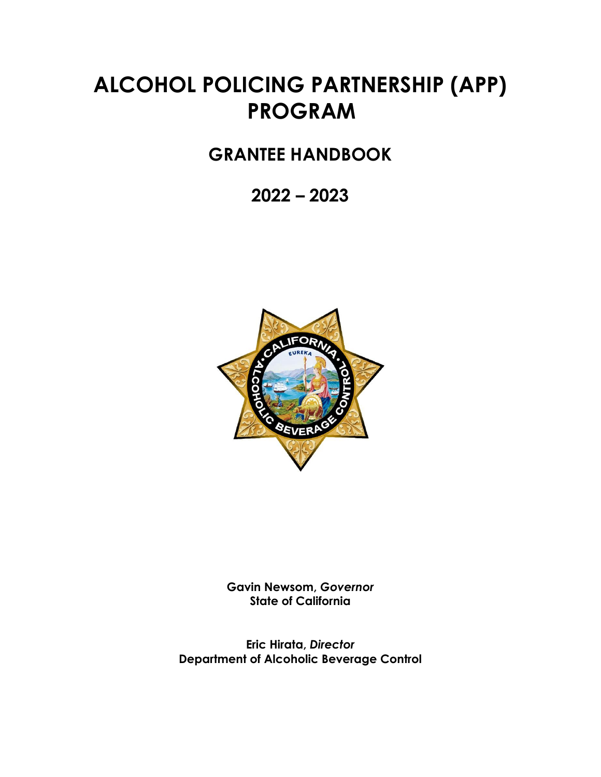# **ALCOHOL POLICING PARTNERSHIP (APP) PROGRAM**

# **GRANTEE HANDBOOK**

**2022 – 2023**



**Gavin Newsom,** *Governor* **State of California**

**Eric Hirata,** *Director* **Department of Alcoholic Beverage Control**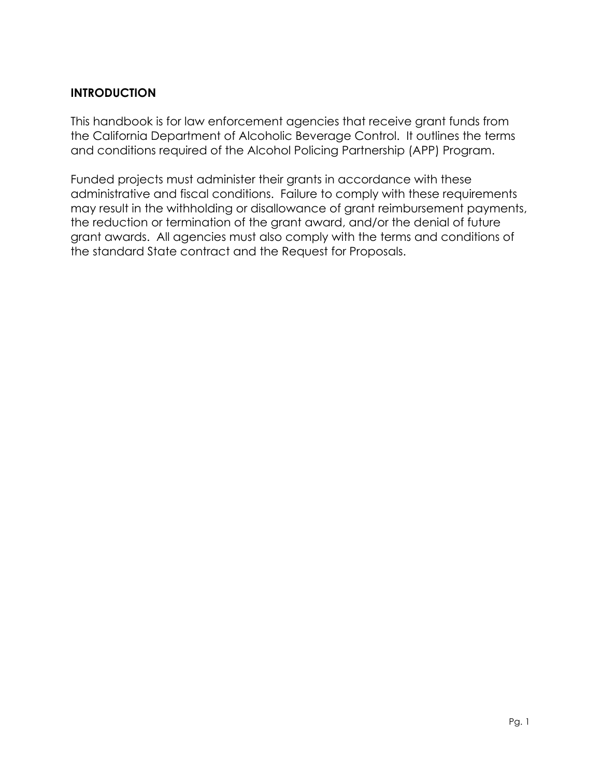# **INTRODUCTION**

This handbook is for law enforcement agencies that receive grant funds from the California Department of Alcoholic Beverage Control. It outlines the terms and conditions required of the Alcohol Policing Partnership (APP) Program.

Funded projects must administer their grants in accordance with these administrative and fiscal conditions. Failure to comply with these requirements may result in the withholding or disallowance of grant reimbursement payments, the reduction or termination of the grant award, and/or the denial of future grant awards. All agencies must also comply with the terms and conditions of the standard State contract and the Request for Proposals.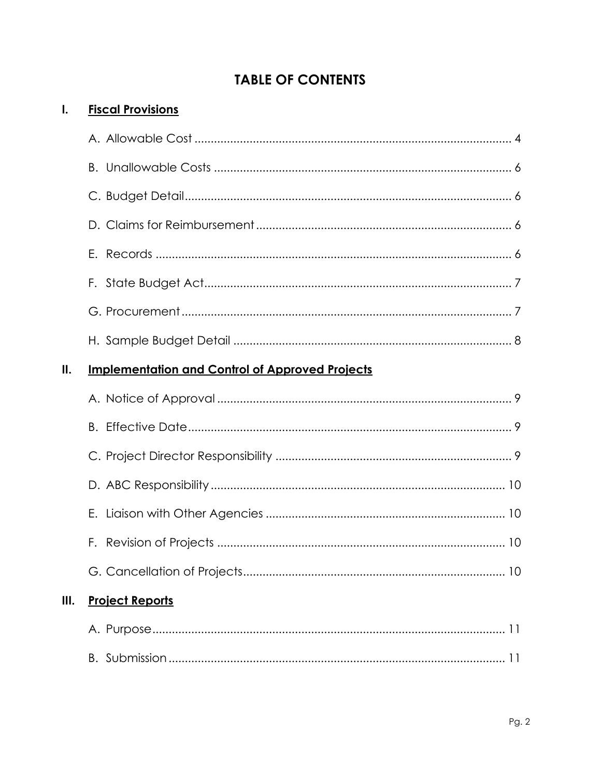# **TABLE OF CONTENTS**

| 1.   | <b>Fiscal Provisions</b>                               |  |  |
|------|--------------------------------------------------------|--|--|
|      |                                                        |  |  |
|      |                                                        |  |  |
|      |                                                        |  |  |
|      |                                                        |  |  |
|      |                                                        |  |  |
|      |                                                        |  |  |
|      |                                                        |  |  |
|      |                                                        |  |  |
| II.  | <b>Implementation and Control of Approved Projects</b> |  |  |
|      |                                                        |  |  |
|      |                                                        |  |  |
|      |                                                        |  |  |
|      |                                                        |  |  |
|      | Е.                                                     |  |  |
|      |                                                        |  |  |
|      |                                                        |  |  |
| III. | <b>Project Reports</b>                                 |  |  |
|      |                                                        |  |  |
|      |                                                        |  |  |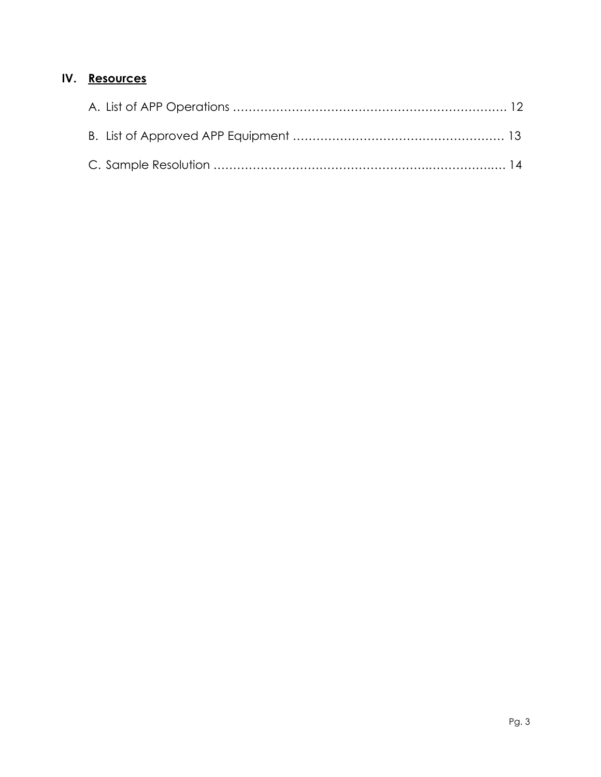# **IV. Resources**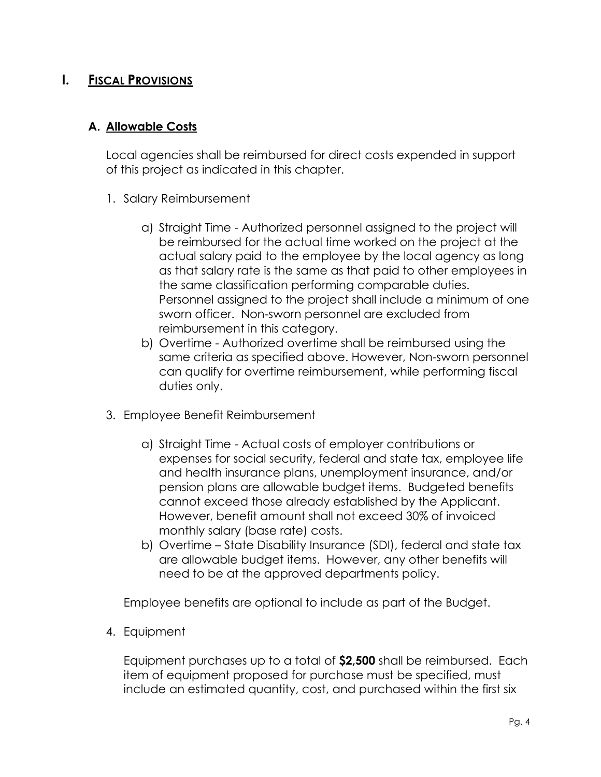# **I. FISCAL PROVISIONS**

### **A. Allowable Costs**

Local agencies shall be reimbursed for direct costs expended in support of this project as indicated in this chapter.

- 1. Salary Reimbursement
	- a) Straight Time Authorized personnel assigned to the project will be reimbursed for the actual time worked on the project at the actual salary paid to the employee by the local agency as long as that salary rate is the same as that paid to other employees in the same classification performing comparable duties. Personnel assigned to the project shall include a minimum of one sworn officer. Non-sworn personnel are excluded from reimbursement in this category.
	- b) Overtime Authorized overtime shall be reimbursed using the same criteria as specified above. However, Non-sworn personnel can qualify for overtime reimbursement, while performing fiscal duties only.
- 3. Employee Benefit Reimbursement
	- a) Straight Time Actual costs of employer contributions or expenses for social security, federal and state tax, employee life and health insurance plans, unemployment insurance, and/or pension plans are allowable budget items. Budgeted benefits cannot exceed those already established by the Applicant. However, benefit amount shall not exceed 30% of invoiced monthly salary (base rate) costs.
	- b) Overtime State Disability Insurance (SDI), federal and state tax are allowable budget items. However, any other benefits will need to be at the approved departments policy.

Employee benefits are optional to include as part of the Budget.

4. Equipment

Equipment purchases up to a total of **\$2,500** shall be reimbursed. Each item of equipment proposed for purchase must be specified, must include an estimated quantity, cost, and purchased within the first six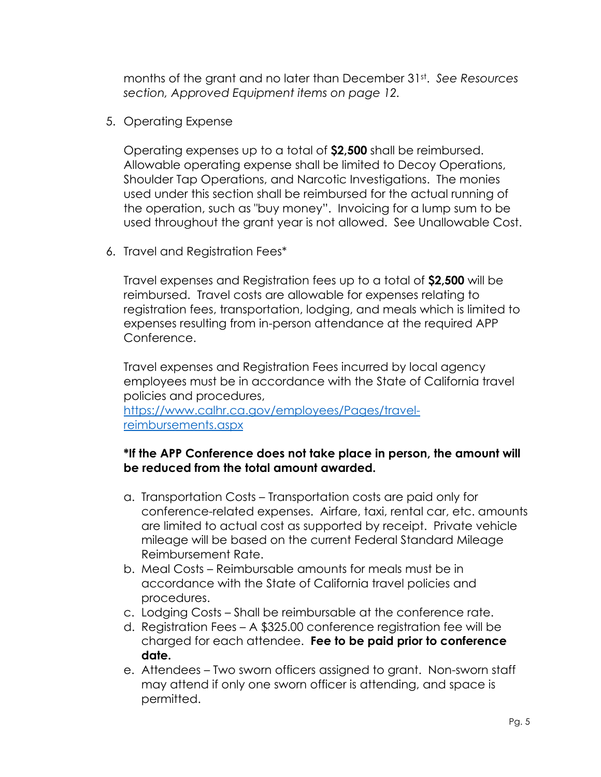months of the grant and no later than December 31st . *See Resources section, Approved Equipment items on page 12.*

5. Operating Expense

Operating expenses up to a total of **\$2,500** shall be reimbursed. Allowable operating expense shall be limited to Decoy Operations, Shoulder Tap Operations, and Narcotic Investigations. The monies used under this section shall be reimbursed for the actual running of the operation, such as "buy money". Invoicing for a lump sum to be used throughout the grant year is not allowed. See Unallowable Cost.

6. Travel and Registration Fees\*

Travel expenses and Registration fees up to a total of **\$2,500** will be reimbursed. Travel costs are allowable for expenses relating to registration fees, transportation, lodging, and meals which is limited to expenses resulting from in-person attendance at the required APP Conference.

Travel expenses and Registration Fees incurred by local agency employees must be in accordance with the State of California travel policies and procedures,

[https://www.calhr.ca.gov/employees/Pages/travel](https://www.calhr.ca.gov/employees/Pages/travel-reimbursements.aspx)[reimbursements.aspx](https://www.calhr.ca.gov/employees/Pages/travel-reimbursements.aspx)

#### **\*If the APP Conference does not take place in person, the amount will be reduced from the total amount awarded.**

- a. Transportation Costs Transportation costs are paid only for conference-related expenses. Airfare, taxi, rental car, etc. amounts are limited to actual cost as supported by receipt. Private vehicle mileage will be based on the current Federal Standard Mileage Reimbursement Rate.
- b. Meal Costs Reimbursable amounts for meals must be in accordance with the State of California travel policies and procedures.
- c. Lodging Costs Shall be reimbursable at the conference rate.
- d. Registration Fees A \$325.00 conference registration fee will be charged for each attendee. **Fee to be paid prior to conference date.**
- e. Attendees Two sworn officers assigned to grant. Non-sworn staff may attend if only one sworn officer is attending, and space is permitted.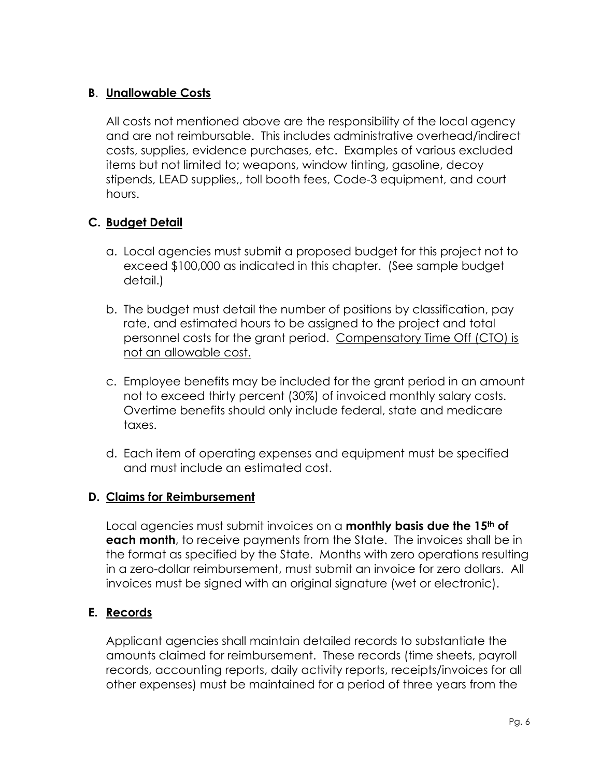# **B**. **Unallowable Costs**

All costs not mentioned above are the responsibility of the local agency and are not reimbursable. This includes administrative overhead/indirect costs, supplies, evidence purchases, etc. Examples of various excluded items but not limited to; weapons, window tinting, gasoline, decoy stipends, LEAD supplies,, toll booth fees, Code-3 equipment, and court hours.

# **C. Budget Detail**

- a. Local agencies must submit a proposed budget for this project not to exceed \$100,000 as indicated in this chapter. (See sample budget detail.)
- b. The budget must detail the number of positions by classification, pay rate, and estimated hours to be assigned to the project and total personnel costs for the grant period. Compensatory Time Off (CTO) is not an allowable cost.
- c. Employee benefits may be included for the grant period in an amount not to exceed thirty percent (30%) of invoiced monthly salary costs. Overtime benefits should only include federal, state and medicare taxes.
- d. Each item of operating expenses and equipment must be specified and must include an estimated cost.

#### **D. Claims for Reimbursement**

Local agencies must submit invoices on a **monthly basis due the 15th of each month**, to receive payments from the State. The invoices shall be in the format as specified by the State. Months with zero operations resulting in a zero-dollar reimbursement, must submit an invoice for zero dollars. All invoices must be signed with an original signature (wet or electronic).

# **E. Records**

Applicant agencies shall maintain detailed records to substantiate the amounts claimed for reimbursement. These records (time sheets, payroll records, accounting reports, daily activity reports, receipts/invoices for all other expenses) must be maintained for a period of three years from the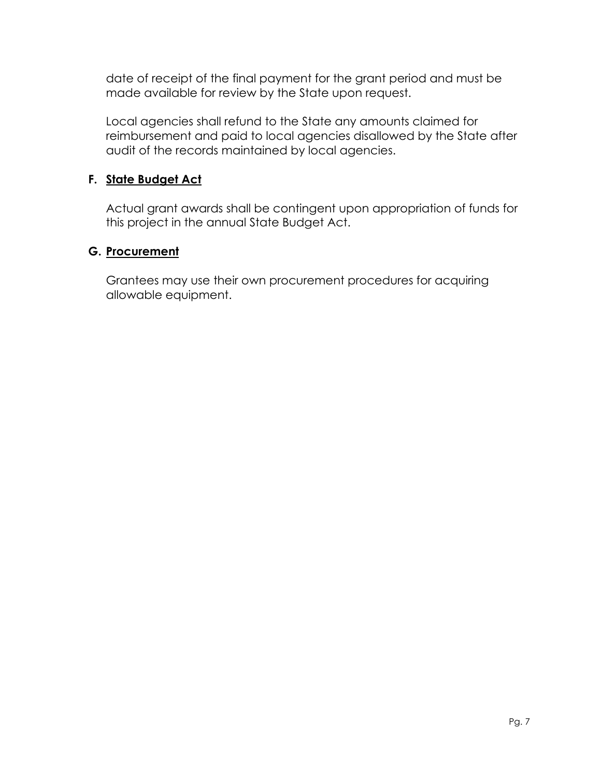date of receipt of the final payment for the grant period and must be made available for review by the State upon request.

Local agencies shall refund to the State any amounts claimed for reimbursement and paid to local agencies disallowed by the State after audit of the records maintained by local agencies.

#### **F. State Budget Act**

Actual grant awards shall be contingent upon appropriation of funds for this project in the annual State Budget Act.

### **G. Procurement**

Grantees may use their own procurement procedures for acquiring allowable equipment.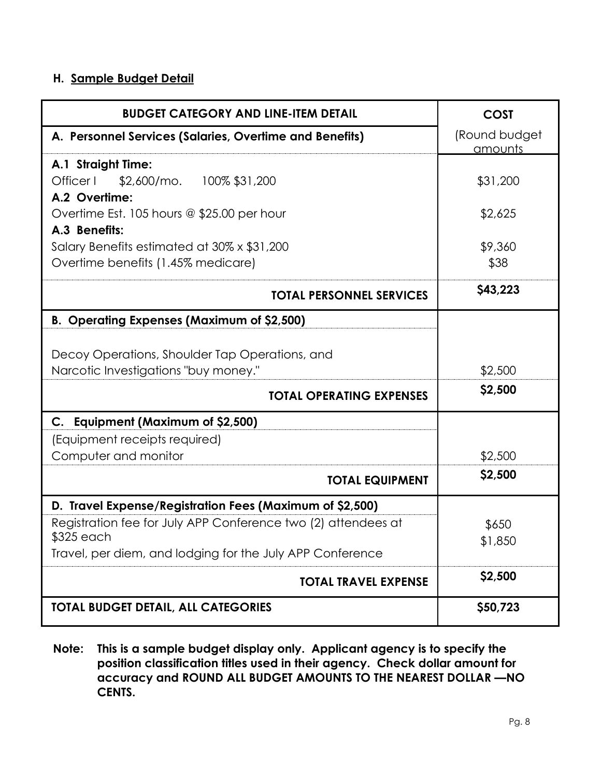#### **H. Sample Budget Detail**

| <b>BUDGET CATEGORY AND LINE-ITEM DETAIL</b>                                            | <b>COST</b>              |
|----------------------------------------------------------------------------------------|--------------------------|
| A. Personnel Services (Salaries, Overtime and Benefits)                                | (Round budget<br>amounts |
| A.1 Straight Time:<br>Officer I<br>$$2,600/mol$ . 100% \$31,200<br>A.2 Overtime:       | \$31,200                 |
| Overtime Est. 105 hours @ \$25.00 per hour<br>A.3 Benefits:                            | \$2,625                  |
| Salary Benefits estimated at 30% x \$31,200<br>Overtime benefits (1.45% medicare)      | \$9,360<br>\$38          |
| <b>TOTAL PERSONNEL SERVICES</b>                                                        | \$43,223                 |
| <b>B. Operating Expenses (Maximum of \$2,500)</b>                                      |                          |
| Decoy Operations, Shoulder Tap Operations, and<br>Narcotic Investigations "buy money." | \$2,500                  |
| <b>TOTAL OPERATING EXPENSES</b>                                                        | \$2,500                  |
| C. Equipment (Maximum of \$2,500)                                                      |                          |
| (Equipment receipts required)<br>Computer and monitor                                  | \$2,500                  |
| <b>TOTAL EQUIPMENT</b>                                                                 | \$2,500                  |
| D. Travel Expense/Registration Fees (Maximum of \$2,500)                               |                          |
| Registration fee for July APP Conference two (2) attendees at<br>\$325 each            | \$650<br>\$1,850         |
| Travel, per diem, and lodging for the July APP Conference                              |                          |
| <b>TOTAL TRAVEL EXPENSE</b>                                                            | \$2,500                  |
| <b>TOTAL BUDGET DETAIL, ALL CATEGORIES</b>                                             | \$50,723                 |

**Note: This is a sample budget display only. Applicant agency is to specify the position classification titles used in their agency. Check dollar amount for accuracy and ROUND ALL BUDGET AMOUNTS TO THE NEAREST DOLLAR —NO CENTS.**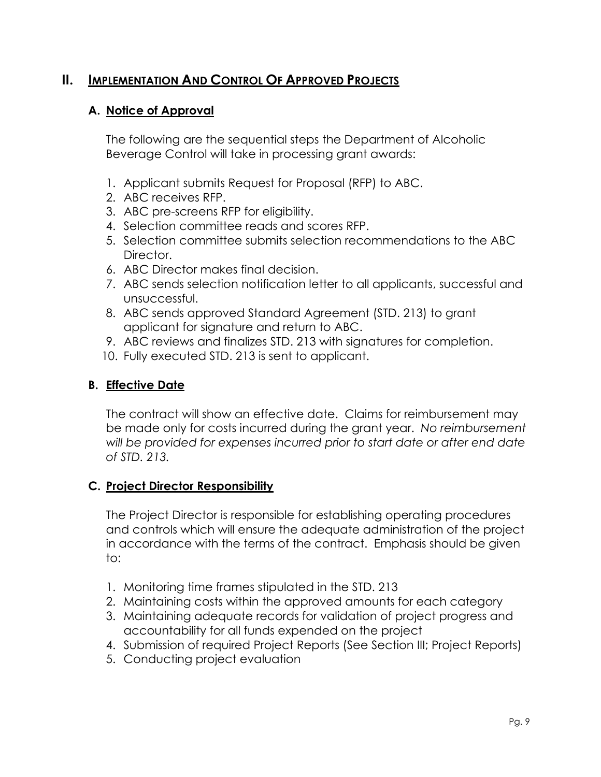# **II. IMPLEMENTATION AND CONTROL OF APPROVED PROJECTS**

#### **A. Notice of Approval**

The following are the sequential steps the Department of Alcoholic Beverage Control will take in processing grant awards:

- 1. Applicant submits Request for Proposal (RFP) to ABC.
- 2. ABC receives RFP.
- 3. ABC pre-screens RFP for eligibility.
- 4. Selection committee reads and scores RFP.
- 5. Selection committee submits selection recommendations to the ABC Director.
- 6. ABC Director makes final decision.
- 7. ABC sends selection notification letter to all applicants, successful and unsuccessful.
- 8. ABC sends approved Standard Agreement (STD. 213) to grant applicant for signature and return to ABC.
- 9. ABC reviews and finalizes STD. 213 with signatures for completion.
- 10. Fully executed STD. 213 is sent to applicant.

# **B. Effective Date**

The contract will show an effective date. Claims for reimbursement may be made only for costs incurred during the grant year. *No reimbursement will be provided for expenses incurred prior to start date or after end date of STD. 213.*

#### **C. Project Director Responsibility**

The Project Director is responsible for establishing operating procedures and controls which will ensure the adequate administration of the project in accordance with the terms of the contract. Emphasis should be given to:

- 1. Monitoring time frames stipulated in the STD. 213
- 2. Maintaining costs within the approved amounts for each category
- 3. Maintaining adequate records for validation of project progress and accountability for all funds expended on the project
- 4. Submission of required Project Reports (See Section III; Project Reports)
- 5. Conducting project evaluation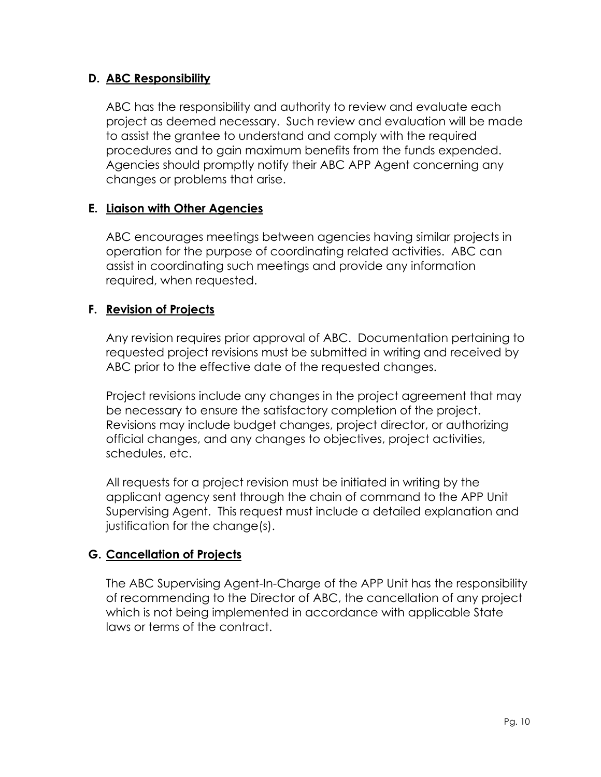### **D. ABC Responsibility**

ABC has the responsibility and authority to review and evaluate each project as deemed necessary. Such review and evaluation will be made to assist the grantee to understand and comply with the required procedures and to gain maximum benefits from the funds expended. Agencies should promptly notify their ABC APP Agent concerning any changes or problems that arise.

### **E. Liaison with Other Agencies**

ABC encourages meetings between agencies having similar projects in operation for the purpose of coordinating related activities. ABC can assist in coordinating such meetings and provide any information required, when requested.

### **F. Revision of Projects**

Any revision requires prior approval of ABC. Documentation pertaining to requested project revisions must be submitted in writing and received by ABC prior to the effective date of the requested changes.

Project revisions include any changes in the project agreement that may be necessary to ensure the satisfactory completion of the project. Revisions may include budget changes, project director, or authorizing official changes, and any changes to objectives, project activities, schedules, etc.

All requests for a project revision must be initiated in writing by the applicant agency sent through the chain of command to the APP Unit Supervising Agent. This request must include a detailed explanation and justification for the change(s).

# **G. Cancellation of Projects**

The ABC Supervising Agent-In-Charge of the APP Unit has the responsibility of recommending to the Director of ABC, the cancellation of any project which is not being implemented in accordance with applicable State laws or terms of the contract.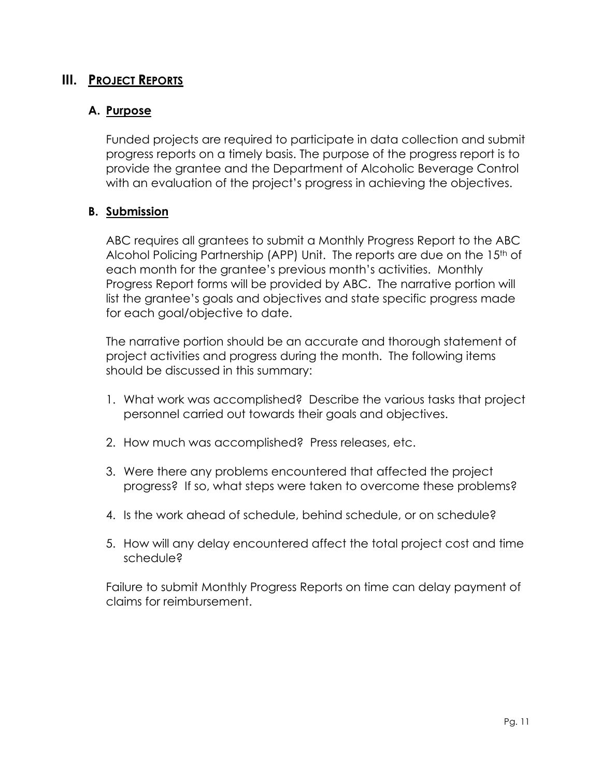# **III. PROJECT REPORTS**

#### **A. Purpose**

Funded projects are required to participate in data collection and submit progress reports on a timely basis. The purpose of the progress report is to provide the grantee and the Department of Alcoholic Beverage Control with an evaluation of the project's progress in achieving the objectives.

#### **B. Submission**

ABC requires all grantees to submit a Monthly Progress Report to the ABC Alcohol Policing Partnership (APP) Unit. The reports are due on the 15<sup>th</sup> of each month for the grantee's previous month's activities. Monthly Progress Report forms will be provided by ABC. The narrative portion will list the grantee's goals and objectives and state specific progress made for each goal/objective to date.

The narrative portion should be an accurate and thorough statement of project activities and progress during the month. The following items should be discussed in this summary:

- 1. What work was accomplished? Describe the various tasks that project personnel carried out towards their goals and objectives.
- 2. How much was accomplished? Press releases, etc.
- 3. Were there any problems encountered that affected the project progress? If so, what steps were taken to overcome these problems?
- 4. Is the work ahead of schedule, behind schedule, or on schedule?
- 5. How will any delay encountered affect the total project cost and time schedule?

Failure to submit Monthly Progress Reports on time can delay payment of claims for reimbursement.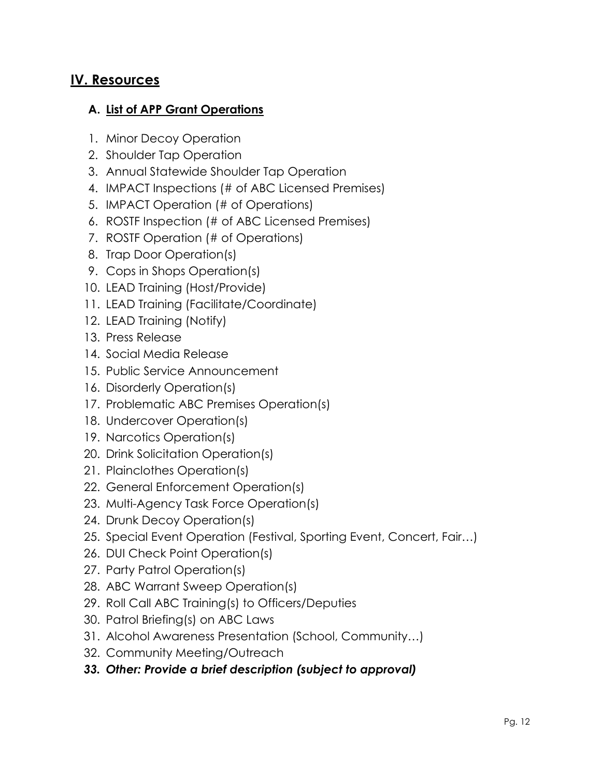# **IV. Resources**

#### **A. List of APP Grant Operations**

- 1. Minor Decoy Operation
- 2. Shoulder Tap Operation
- 3. Annual Statewide Shoulder Tap Operation
- 4. IMPACT Inspections (# of ABC Licensed Premises)
- 5. IMPACT Operation (# of Operations)
- 6. ROSTF Inspection (# of ABC Licensed Premises)
- 7. ROSTF Operation (# of Operations)
- 8. Trap Door Operation(s)
- 9. Cops in Shops Operation(s)
- 10. LEAD Training (Host/Provide)
- 11. LEAD Training (Facilitate/Coordinate)
- 12. LEAD Training (Notify)
- 13. Press Release
- 14. Social Media Release
- 15. Public Service Announcement
- 16. Disorderly Operation(s)
- 17. Problematic ABC Premises Operation(s)
- 18. Undercover Operation(s)
- 19. Narcotics Operation(s)
- 20. Drink Solicitation Operation(s)
- 21. Plainclothes Operation(s)
- 22. General Enforcement Operation(s)
- 23. Multi-Agency Task Force Operation(s)
- 24. Drunk Decoy Operation(s)
- 25. Special Event Operation (Festival, Sporting Event, Concert, Fair…)
- 26. DUI Check Point Operation(s)
- 27. Party Patrol Operation(s)
- 28. ABC Warrant Sweep Operation(s)
- 29. Roll Call ABC Training(s) to Officers/Deputies
- 30. Patrol Briefing(s) on ABC Laws
- 31. Alcohol Awareness Presentation (School, Community…)
- 32. Community Meeting/Outreach
- *33. Other: Provide a brief description (subject to approval)*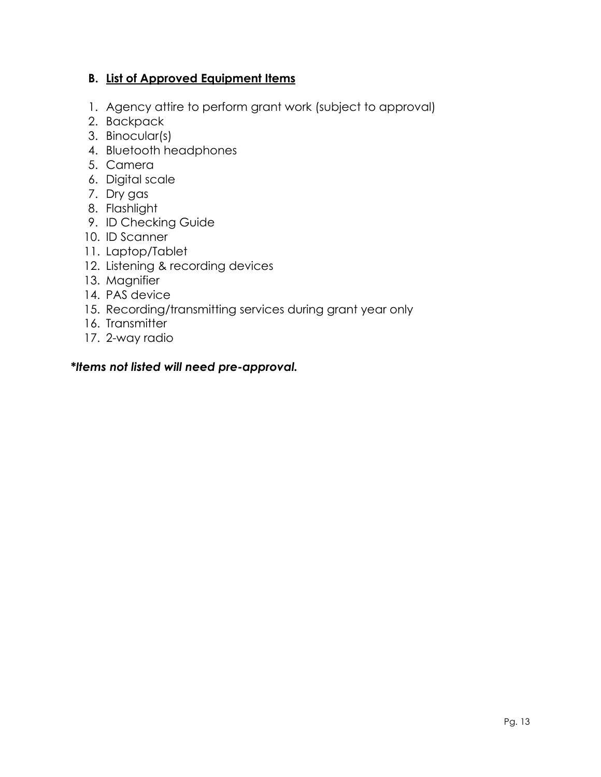### **B. List of Approved Equipment Items**

- 1. Agency attire to perform grant work (subject to approval)
- 2. Backpack
- 3. Binocular(s)
- 4. Bluetooth headphones
- 5. Camera
- 6. Digital scale
- 7. Dry gas
- 8. Flashlight
- 9. ID Checking Guide
- 10. ID Scanner
- 11. Laptop/Tablet
- 12. Listening & recording devices
- 13. Magnifier
- 14. PAS device
- 15. Recording/transmitting services during grant year only
- 16. Transmitter
- 17. 2-way radio

#### *\*Items not listed will need pre-approval.*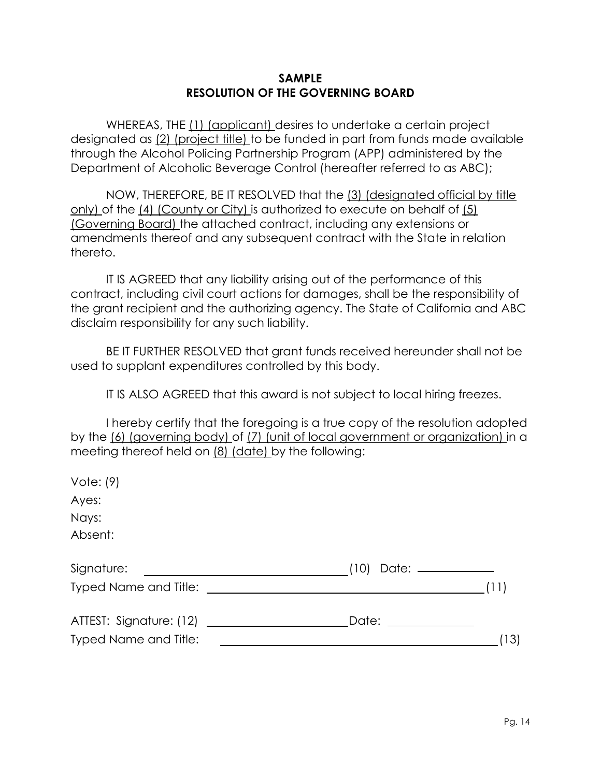#### **SAMPLE RESOLUTION OF THE GOVERNING BOARD**

WHEREAS, THE (1) (applicant) desires to undertake a certain project designated as (2) (project title) to be funded in part from funds made available through the Alcohol Policing Partnership Program (APP) administered by the Department of Alcoholic Beverage Control (hereafter referred to as ABC);

NOW, THEREFORE, BE IT RESOLVED that the (3) (designated official by title only) of the (4) (County or City) is authorized to execute on behalf of (5) (Governing Board) the attached contract, including any extensions or amendments thereof and any subsequent contract with the State in relation thereto.

IT IS AGREED that any liability arising out of the performance of this contract, including civil court actions for damages, shall be the responsibility of the grant recipient and the authorizing agency. The State of California and ABC disclaim responsibility for any such liability.

BE IT FURTHER RESOLVED that grant funds received hereunder shall not be used to supplant expenditures controlled by this body.

IT IS ALSO AGREED that this award is not subject to local hiring freezes.

I hereby certify that the foregoing is a true copy of the resolution adopted by the (6) (governing body) of (7) (unit of local government or organization) in a meeting thereof held on (8) (date) by the following:

| Vote: $(9)$           |                                                                                                                                                                                                                                        |
|-----------------------|----------------------------------------------------------------------------------------------------------------------------------------------------------------------------------------------------------------------------------------|
| Ayes:                 |                                                                                                                                                                                                                                        |
| Nays:                 |                                                                                                                                                                                                                                        |
| Absent:               |                                                                                                                                                                                                                                        |
| Signature:            | Date: _________<br>(10)<br><u> 1980 - Johann Barn, fransk politik (</u>                                                                                                                                                                |
|                       | Typed Name and Title: The Contract of the Contract of the Contract of the Contract of the Contract of the Contract of the Contract of the Contract of the Contract of the Contract of the Contract of the Contract of the Cont<br>(11) |
|                       | Date: ___________                                                                                                                                                                                                                      |
| Typed Name and Title: | (13)                                                                                                                                                                                                                                   |